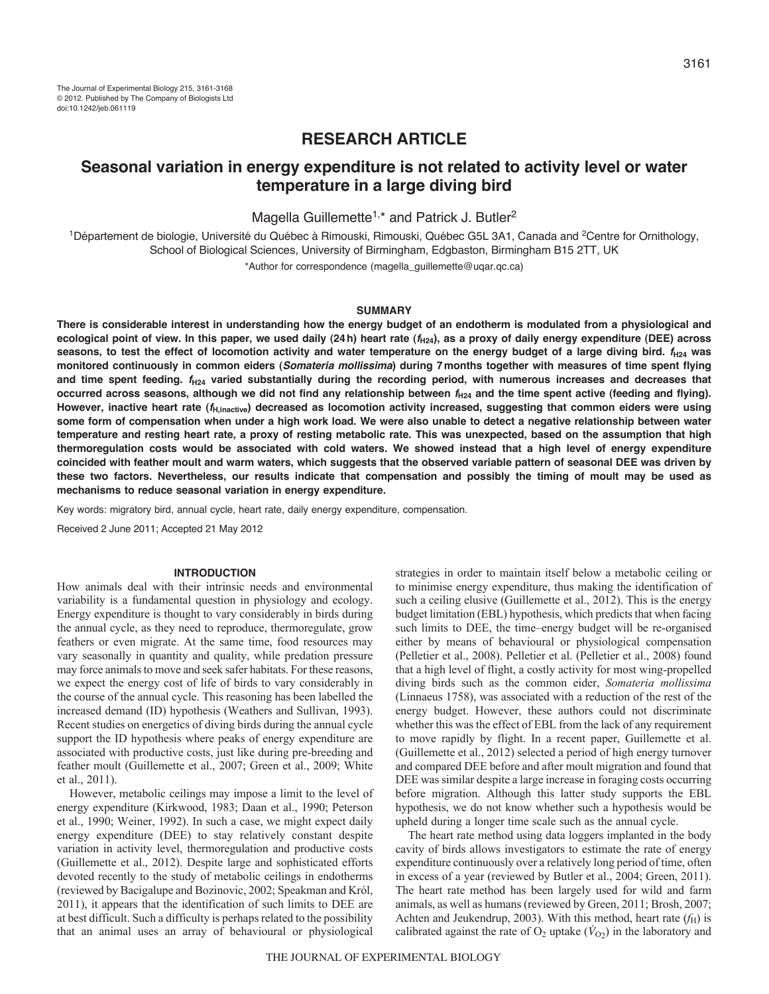## **RESEARCH ARTICLE**

# **Seasonal variation in energy expenditure is not related to activity level or water temperature in a large diving bird**

Magella Guillemette<sup>1,\*</sup> and Patrick J. Butler<sup>2</sup>

<sup>1</sup>Département de biologie, Université du Québec à Rimouski, Rimouski, Québec G5L 3A1, Canada and <sup>2</sup>Centre for Ornithology, School of Biological Sciences, University of Birmingham, Edgbaston, Birmingham B15 2TT, UK

\*Author for correspondence (magella\_guillemette@uqar.qc.ca)

## **SUMMARY**

**There is considerable interest in understanding how the energy budget of an endotherm is modulated from a physiological and ecological point of view. In this paper, we used daily (24h) heart rate (***f***H24), as a proxy of daily energy expenditure (DEE) across seasons, to test the effect of locomotion activity and water temperature on the energy budget of a large diving bird.** *f***H24 was monitored continuously in common eiders (***Somateria mollissima***) during 7months together with measures of time spent flying and time spent feeding.** *f***H24 varied substantially during the recording period, with numerous increases and decreases that occurred across seasons, although we did not find any relationship between** *f***H24 and the time spent active (feeding and flying). However, inactive heart rate (***f***H,inactive) decreased as locomotion activity increased, suggesting that common eiders were using some form of compensation when under a high work load. We were also unable to detect a negative relationship between water temperature and resting heart rate, a proxy of resting metabolic rate. This was unexpected, based on the assumption that high thermoregulation costs would be associated with cold waters. We showed instead that a high level of energy expenditure coincided with feather moult and warm waters, which suggests that the observed variable pattern of seasonal DEE was driven by these two factors. Nevertheless, our results indicate that compensation and possibly the timing of moult may be used as mechanisms to reduce seasonal variation in energy expenditure.**

Key words: migratory bird, annual cycle, heart rate, daily energy expenditure, compensation.

Received 2 June 2011; Accepted 21 May 2012

## **INTRODUCTION**

How animals deal with their intrinsic needs and environmental variability is a fundamental question in physiology and ecology. Energy expenditure is thought to vary considerably in birds during the annual cycle, as they need to reproduce, thermoregulate, grow feathers or even migrate. At the same time, food resources may vary seasonally in quantity and quality, while predation pressure may force animals to move and seek safer habitats. For these reasons, we expect the energy cost of life of birds to vary considerably in the course of the annual cycle. This reasoning has been labelled the increased demand (ID) hypothesis (Weathers and Sullivan, 1993). Recent studies on energetics of diving birds during the annual cycle support the ID hypothesis where peaks of energy expenditure are associated with productive costs, just like during pre-breeding and feather moult (Guillemette et al., 2007; Green et al., 2009; White et al., 2011).

However, metabolic ceilings may impose a limit to the level of energy expenditure (Kirkwood, 1983; Daan et al., 1990; Peterson et al., 1990; Weiner, 1992). In such a case, we might expect daily energy expenditure (DEE) to stay relatively constant despite variation in activity level, thermoregulation and productive costs (Guillemette et al., 2012). Despite large and sophisticated efforts devoted recently to the study of metabolic ceilings in endotherms (reviewed by Bacigalupe and Bozinovic, 2002; Speakman and Król, 2011), it appears that the identification of such limits to DEE are at best difficult. Such a difficulty is perhaps related to the possibility that an animal uses an array of behavioural or physiological

strategies in order to maintain itself below a metabolic ceiling or to minimise energy expenditure, thus making the identification of such a ceiling elusive (Guillemette et al., 2012). This is the energy budget limitation (EBL) hypothesis, which predicts that when facing such limits to DEE, the time–energy budget will be re-organised either by means of behavioural or physiological compensation (Pelletier et al., 2008). Pelletier et al. (Pelletier et al., 2008) found that a high level of flight, a costly activity for most wing-propelled diving birds such as the common eider, *Somateria mollissima* (Linnaeus 1758), was associated with a reduction of the rest of the energy budget. However, these authors could not discriminate whether this was the effect of EBL from the lack of any requirement to move rapidly by flight. In a recent paper, Guillemette et al. (Guillemette et al., 2012) selected a period of high energy turnover and compared DEE before and after moult migration and found that DEE was similar despite a large increase in foraging costs occurring before migration. Although this latter study supports the EBL hypothesis, we do not know whether such a hypothesis would be upheld during a longer time scale such as the annual cycle.

The heart rate method using data loggers implanted in the body cavity of birds allows investigators to estimate the rate of energy expenditure continuously over a relatively long period of time, often in excess of a year (reviewed by Butler et al., 2004; Green, 2011). The heart rate method has been largely used for wild and farm animals, as well as humans (reviewed by Green, 2011; Brosh, 2007; Achten and Jeukendrup, 2003). With this method, heart rate  $(f_H)$  is calibrated against the rate of  $O_2$  uptake ( $\dot{V}_{O2}$ ) in the laboratory and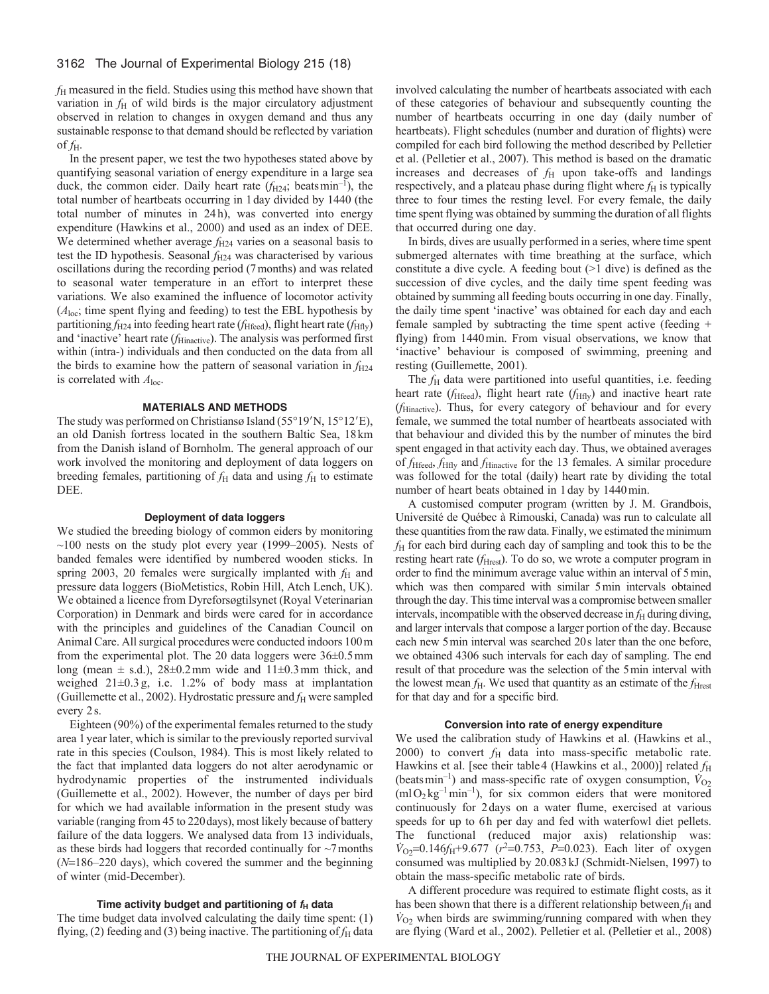*f*<sup>H</sup> measured in the field. Studies using this method have shown that variation in  $f<sub>H</sub>$  of wild birds is the major circulatory adjustment observed in relation to changes in oxygen demand and thus any sustainable response to that demand should be reflected by variation of  $f_{\rm H}$ .

In the present paper, we test the two hypotheses stated above by quantifying seasonal variation of energy expenditure in a large sea duck, the common eider. Daily heart rate  $(f_{H24}; \text{ beats min}^{-1})$ , the total number of heartbeats occurring in 1day divided by 1440 (the total number of minutes in 24h), was converted into energy expenditure (Hawkins et al., 2000) and used as an index of DEE. We determined whether average  $f_{\text{H24}}$  varies on a seasonal basis to test the ID hypothesis. Seasonal  $f_{H24}$  was characterised by various oscillations during the recording period (7months) and was related to seasonal water temperature in an effort to interpret these variations. We also examined the influence of locomotor activity  $(A<sub>loc</sub>)$ ; time spent flying and feeding) to test the EBL hypothesis by partitioning  $f_{H24}$  into feeding heart rate ( $f_{Hfeed}$ ), flight heart rate ( $f_{Hfly}$ ) and 'inactive' heart rate (*f*Hinactive). The analysis was performed first within (intra-) individuals and then conducted on the data from all the birds to examine how the pattern of seasonal variation in  $f_{H24}$ is correlated with *A*loc.

## **MATERIALS AND METHODS**

The study was performed on Christiansø Island (55°19'N, 15°12'E), an old Danish fortress located in the southern Baltic Sea, 18km from the Danish island of Bornholm. The general approach of our work involved the monitoring and deployment of data loggers on breeding females, partitioning of  $f_H$  data and using  $f_H$  to estimate DEE.

## **Deployment of data loggers**

We studied the breeding biology of common eiders by monitoring  $~100$  nests on the study plot every year (1999–2005). Nests of banded females were identified by numbered wooden sticks. In spring 2003, 20 females were surgically implanted with  $f<sub>H</sub>$  and pressure data loggers (BioMetistics, Robin Hill, Atch Lench, UK). We obtained a licence from Dyreforsøgtilsynet (Royal Veterinarian Corporation) in Denmark and birds were cared for in accordance with the principles and guidelines of the Canadian Council on Animal Care. All surgical procedures were conducted indoors 100m from the experimental plot. The 20 data loggers were  $36\pm0.5$  mm long (mean  $\pm$  s.d.), 28 $\pm$ 0.2mm wide and 11 $\pm$ 0.3mm thick, and weighed 21±0.3 g, i.e. 1.2% of body mass at implantation (Guillemette et al., 2002). Hydrostatic pressure and  $f_H$  were sampled every 2s.

Eighteen (90%) of the experimental females returned to the study area 1year later, which is similar to the previously reported survival rate in this species (Coulson, 1984). This is most likely related to the fact that implanted data loggers do not alter aerodynamic or hydrodynamic properties of the instrumented individuals (Guillemette et al., 2002). However, the number of days per bird for which we had available information in the present study was variable (ranging from 45 to 220days), most likely because of battery failure of the data loggers. We analysed data from 13 individuals, as these birds had loggers that recorded continually for  $\sim$ 7 months  $(N=186-220 \text{ days})$ , which covered the summer and the beginning of winter (mid-December).

## Time activity budget and partitioning of  $f_H$  data

The time budget data involved calculating the daily time spent: (1) flying, (2) feeding and (3) being inactive. The partitioning of  $f_H$  data involved calculating the number of heartbeats associated with each of these categories of behaviour and subsequently counting the number of heartbeats occurring in one day (daily number of heartbeats). Flight schedules (number and duration of flights) were compiled for each bird following the method described by Pelletier et al. (Pelletier et al., 2007). This method is based on the dramatic increases and decreases of  $f_H$  upon take-offs and landings respectively, and a plateau phase during flight where  $f_H$  is typically three to four times the resting level. For every female, the daily time spent flying was obtained by summing the duration of all flights that occurred during one day.

In birds, dives are usually performed in a series, where time spent submerged alternates with time breathing at the surface, which constitute a dive cycle. A feeding bout (>1 dive) is defined as the succession of dive cycles, and the daily time spent feeding was obtained by summing all feeding bouts occurring in one day. Finally, the daily time spent 'inactive' was obtained for each day and each female sampled by subtracting the time spent active (feeding + flying) from 1440min. From visual observations, we know that 'inactive' behaviour is composed of swimming, preening and resting (Guillemette, 2001).

The *f*<sub>H</sub> data were partitioned into useful quantities, i.e. feeding heart rate  $(f_{\text{Hfeed}})$ , flight heart rate  $(f_{\text{Hfly}})$  and inactive heart rate (*f*Hinactive). Thus, for every category of behaviour and for every female, we summed the total number of heartbeats associated with that behaviour and divided this by the number of minutes the bird spent engaged in that activity each day. Thus, we obtained averages of *f*Hfeed, *f*Hfly and *f*Hinactive for the 13 females. A similar procedure was followed for the total (daily) heart rate by dividing the total number of heart beats obtained in 1day by 1440min.

A customised computer program (written by J. M. Grandbois, Université de Québec à Rimouski, Canada) was run to calculate all these quantities from the raw data. Finally, we estimated the minimum *f*<sup>H</sup> for each bird during each day of sampling and took this to be the resting heart rate (*f*<sub>Hrest</sub>). To do so, we wrote a computer program in order to find the minimum average value within an interval of 5min, which was then compared with similar 5min intervals obtained through the day. This time interval was a compromise between smaller intervals, incompatible with the observed decrease in  $f_H$  during diving, and larger intervals that compose a larger portion of the day. Because each new 5min interval was searched 20s later than the one before, we obtained 4306 such intervals for each day of sampling. The end result of that procedure was the selection of the 5min interval with the lowest mean  $f_H$ . We used that quantity as an estimate of the  $f_{\text{Hrest}}$ for that day and for a specific bird.

#### **Conversion into rate of energy expenditure**

We used the calibration study of Hawkins et al. (Hawkins et al.,  $2000$ ) to convert  $f_H$  data into mass-specific metabolic rate. Hawkins et al. [see their table 4 (Hawkins et al., 2000)] related  $f_H$ (beats min<sup>-1</sup>) and mass-specific rate of oxygen consumption,  $\dot{V}_{O2}$  $(m1O_2 \text{kg}^{-1} \text{min}^{-1})$ , for six common eiders that were monitored continuously for 2days on a water flume, exercised at various speeds for up to 6h per day and fed with waterfowl diet pellets. The functional (reduced major axis) relationship was:  $\dot{V}_{O2}$ =0.146*f*<sub>H</sub>+9.677 ( $r^2$ =0.753, *P*=0.023). Each liter of oxygen consumed was multiplied by 20.083kJ (Schmidt-Nielsen, 1997) to obtain the mass-specific metabolic rate of birds.

A different procedure was required to estimate flight costs, as it has been shown that there is a different relationship between  $f<sub>H</sub>$  and  $\dot{V}_{O_2}$  when birds are swimming/running compared with when they are flying (Ward et al., 2002). Pelletier et al. (Pelletier et al., 2008)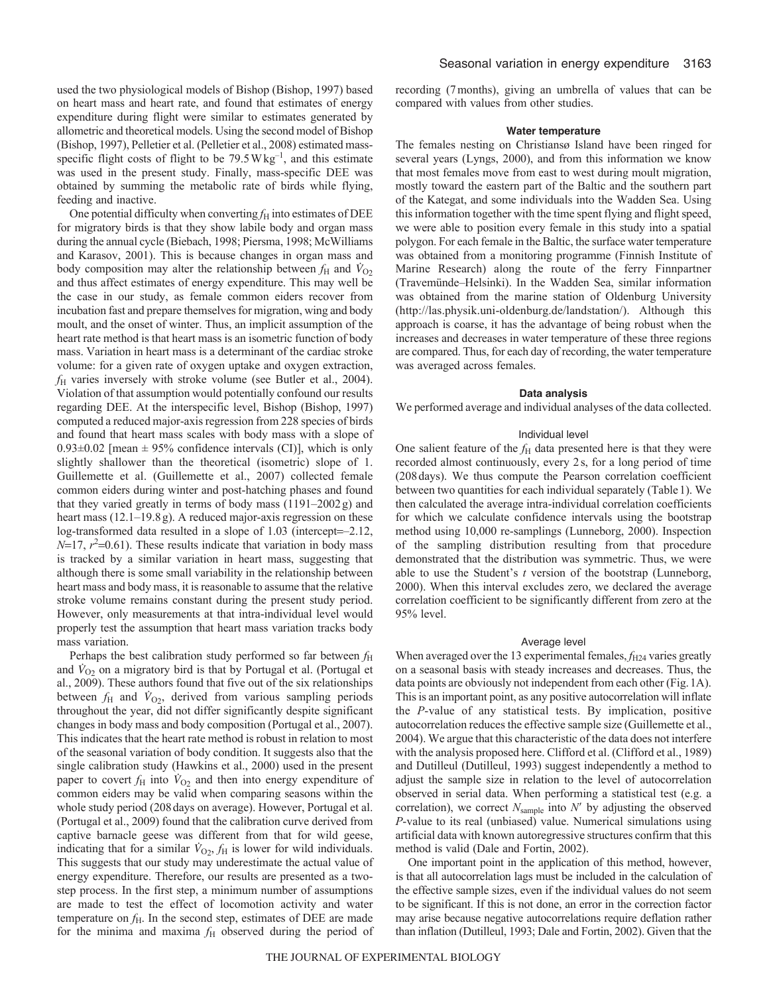used the two physiological models of Bishop (Bishop, 1997) based on heart mass and heart rate, and found that estimates of energy expenditure during flight were similar to estimates generated by allometric and theoretical models. Using the second model of Bishop (Bishop, 1997), Pelletier et al. (Pelletier et al., 2008) estimated massspecific flight costs of flight to be  $79.5 \text{W kg}^{-1}$ , and this estimate was used in the present study. Finally, mass-specific DEE was obtained by summing the metabolic rate of birds while flying, feeding and inactive.

One potential difficulty when converting  $f<sub>H</sub>$  into estimates of DEE for migratory birds is that they show labile body and organ mass during the annual cycle (Biebach, 1998; Piersma, 1998; McWilliams and Karasov, 2001). This is because changes in organ mass and body composition may alter the relationship between  $f_H$  and  $\dot{V}_{O2}$ and thus affect estimates of energy expenditure. This may well be the case in our study, as female common eiders recover from incubation fast and prepare themselves for migration, wing and body moult, and the onset of winter. Thus, an implicit assumption of the heart rate method is that heart mass is an isometric function of body mass. Variation in heart mass is a determinant of the cardiac stroke volume: for a given rate of oxygen uptake and oxygen extraction, *f*<sup>H</sup> varies inversely with stroke volume (see Butler et al., 2004). Violation of that assumption would potentially confound our results regarding DEE. At the interspecific level, Bishop (Bishop, 1997) computed a reduced major-axis regression from 228 species of birds and found that heart mass scales with body mass with a slope of  $0.93\pm0.02$  [mean  $\pm$  95% confidence intervals (CI)], which is only slightly shallower than the theoretical (isometric) slope of 1. Guillemette et al. (Guillemette et al., 2007) collected female common eiders during winter and post-hatching phases and found that they varied greatly in terms of body mass (1191–2002g) and heart mass (12.1–19.8g). A reduced major-axis regression on these log-transformed data resulted in a slope of 1.03 (intercept=-2.12,  $N=17$ ,  $r^2=0.61$ ). These results indicate that variation in body mass is tracked by a similar variation in heart mass, suggesting that although there is some small variability in the relationship between heart mass and body mass, it is reasonable to assume that the relative stroke volume remains constant during the present study period. However, only measurements at that intra-individual level would properly test the assumption that heart mass variation tracks body mass variation.

Perhaps the best calibration study performed so far between  $f<sub>H</sub>$ and  $\dot{V}_{O_2}$  on a migratory bird is that by Portugal et al. (Portugal et al., 2009). These authors found that five out of the six relationships between  $f_H$  and  $\dot{V}_{O_2}$ , derived from various sampling periods throughout the year, did not differ significantly despite significant changes in body mass and body composition (Portugal et al., 2007). This indicates that the heart rate method is robust in relation to most of the seasonal variation of body condition. It suggests also that the single calibration study (Hawkins et al., 2000) used in the present paper to covert  $f_{\rm H}$  into  $\dot{V}_{\rm O2}$  and then into energy expenditure of common eiders may be valid when comparing seasons within the whole study period (208days on average). However, Portugal et al. (Portugal et al., 2009) found that the calibration curve derived from captive barnacle geese was different from that for wild geese, indicating that for a similar  $\dot{V}_{O2}$ ,  $f_H$  is lower for wild individuals. This suggests that our study may underestimate the actual value of energy expenditure. Therefore, our results are presented as a twostep process. In the first step, a minimum number of assumptions are made to test the effect of locomotion activity and water temperature on  $f_H$ . In the second step, estimates of DEE are made for the minima and maxima  $f<sub>H</sub>$  observed during the period of recording (7months), giving an umbrella of values that can be compared with values from other studies.

#### **Water temperature**

The females nesting on Christiansø Island have been ringed for several years (Lyngs, 2000), and from this information we know that most females move from east to west during moult migration, mostly toward the eastern part of the Baltic and the southern part of the Kategat, and some individuals into the Wadden Sea. Using this information together with the time spent flying and flight speed, we were able to position every female in this study into a spatial polygon. For each female in the Baltic, the surface water temperature was obtained from a monitoring programme (Finnish Institute of Marine Research) along the route of the ferry Finnpartner (Travemünde–Helsinki). In the Wadden Sea, similar information was obtained from the marine station of Oldenburg University (http://las.physik.uni-oldenburg.de/landstation/). Although this approach is coarse, it has the advantage of being robust when the increases and decreases in water temperature of these three regions are compared. Thus, for each day of recording, the water temperature was averaged across females.

#### **Data analysis**

We performed average and individual analyses of the data collected.

#### Individual level

One salient feature of the  $f_H$  data presented here is that they were recorded almost continuously, every 2s, for a long period of time (208days). We thus compute the Pearson correlation coefficient between two quantities for each individual separately (Table1). We then calculated the average intra-individual correlation coefficients for which we calculate confidence intervals using the bootstrap method using 10,000 re-samplings (Lunneborg, 2000). Inspection of the sampling distribution resulting from that procedure demonstrated that the distribution was symmetric. Thus, we were able to use the Student's *t* version of the bootstrap (Lunneborg, 2000). When this interval excludes zero, we declared the average correlation coefficient to be significantly different from zero at the 95% level.

#### Average level

When averaged over the 13 experimental females,  $f_{H24}$  varies greatly on a seasonal basis with steady increases and decreases. Thus, the data points are obviously not independent from each other (Fig.1A). This is an important point, as any positive autocorrelation will inflate the *P*-value of any statistical tests. By implication, positive autocorrelation reduces the effective sample size (Guillemette et al., 2004). We argue that this characteristic of the data does not interfere with the analysis proposed here. Clifford et al. (Clifford et al., 1989) and Dutilleul (Dutilleul, 1993) suggest independently a method to adjust the sample size in relation to the level of autocorrelation observed in serial data. When performing a statistical test (e.g. a correlation), we correct  $N_{\text{sample}}$  into  $N'$  by adjusting the observed *P*-value to its real (unbiased) value. Numerical simulations using artificial data with known autoregressive structures confirm that this method is valid (Dale and Fortin, 2002).

One important point in the application of this method, however, is that all autocorrelation lags must be included in the calculation of the effective sample sizes, even if the individual values do not seem to be significant. If this is not done, an error in the correction factor may arise because negative autocorrelations require deflation rather than inflation (Dutilleul, 1993; Dale and Fortin, 2002). Given that the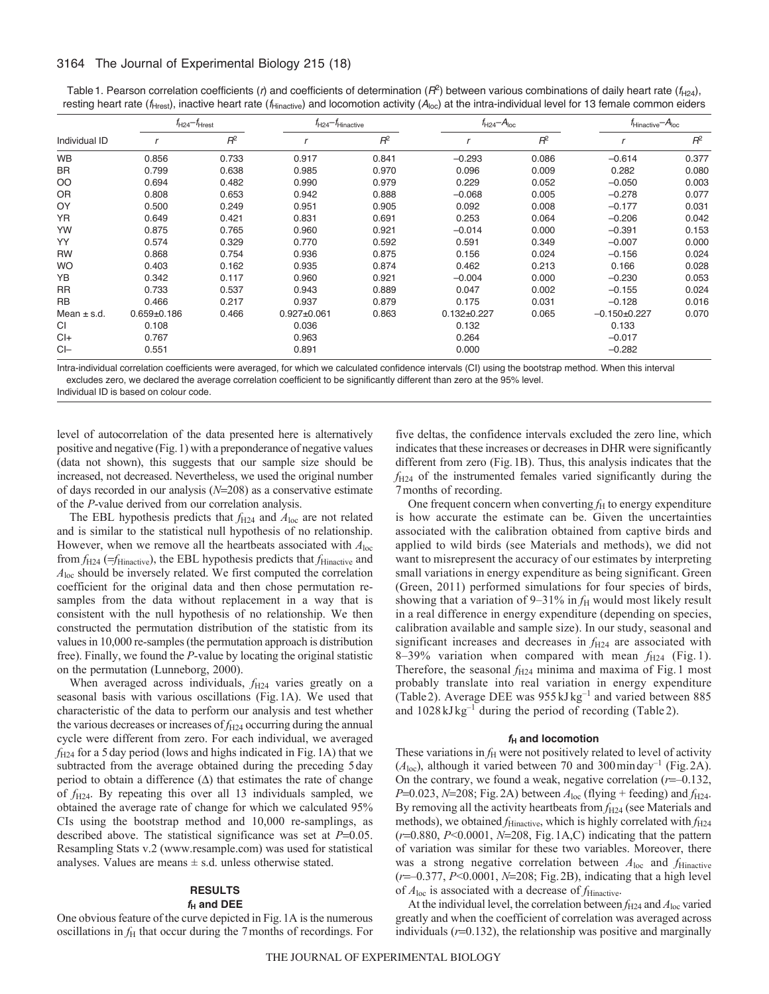## 3164 The Journal of Experimental Biology 215 (18)

Table 1. Pearson correlation coefficients (*r*) and coefficients of determination ( $R^2$ ) between various combinations of daily heart rate ( $f_{H24}$ ), resting heart rate (*f*<sub>Hrest</sub>), inactive heart rate (*f*<sub>Hinactive</sub>) and locomotion activity (*A*<sub>loc</sub>) at the intra-individual level for 13 female common eiders

| Individual ID   | $f_{H24} - f_{Hrest}$ |       | $f_{H24} - f_{\text{Hinactive}}$ |       | $f_{H24} - A_{loc}$ |       | $t_{\text{Hinactive}} - A_{\text{loc}}$ |       |
|-----------------|-----------------------|-------|----------------------------------|-------|---------------------|-------|-----------------------------------------|-------|
|                 |                       | $R^2$ |                                  | $R^2$ |                     | $R^2$ |                                         | $R^2$ |
| <b>WB</b>       | 0.856                 | 0.733 | 0.917                            | 0.841 | $-0.293$            | 0.086 | $-0.614$                                | 0.377 |
| <b>BR</b>       | 0.799                 | 0.638 | 0.985                            | 0.970 | 0.096               | 0.009 | 0.282                                   | 0.080 |
| OO              | 0.694                 | 0.482 | 0.990                            | 0.979 | 0.229               | 0.052 | $-0.050$                                | 0.003 |
| <b>OR</b>       | 0.808                 | 0.653 | 0.942                            | 0.888 | $-0.068$            | 0.005 | $-0.278$                                | 0.077 |
| OY              | 0.500                 | 0.249 | 0.951                            | 0.905 | 0.092               | 0.008 | $-0.177$                                | 0.031 |
| <b>YR</b>       | 0.649                 | 0.421 | 0.831                            | 0.691 | 0.253               | 0.064 | $-0.206$                                | 0.042 |
| YW              | 0.875                 | 0.765 | 0.960                            | 0.921 | $-0.014$            | 0.000 | $-0.391$                                | 0.153 |
| YY              | 0.574                 | 0.329 | 0.770                            | 0.592 | 0.591               | 0.349 | $-0.007$                                | 0.000 |
| <b>RW</b>       | 0.868                 | 0.754 | 0.936                            | 0.875 | 0.156               | 0.024 | $-0.156$                                | 0.024 |
| <b>WO</b>       | 0.403                 | 0.162 | 0.935                            | 0.874 | 0.462               | 0.213 | 0.166                                   | 0.028 |
| YB              | 0.342                 | 0.117 | 0.960                            | 0.921 | $-0.004$            | 0.000 | $-0.230$                                | 0.053 |
| <b>RR</b>       | 0.733                 | 0.537 | 0.943                            | 0.889 | 0.047               | 0.002 | $-0.155$                                | 0.024 |
| <b>RB</b>       | 0.466                 | 0.217 | 0.937                            | 0.879 | 0.175               | 0.031 | $-0.128$                                | 0.016 |
| Mean $\pm$ s.d. | $0.659 \pm 0.186$     | 0.466 | $0.927 \pm 0.061$                | 0.863 | $0.132 + 0.227$     | 0.065 | $-0.150+0.227$                          | 0.070 |
| <b>CI</b>       | 0.108                 |       | 0.036                            |       | 0.132               |       | 0.133                                   |       |
| $Cl +$          | 0.767                 |       | 0.963                            |       | 0.264               |       | $-0.017$                                |       |
| $Cl-$           | 0.551                 |       | 0.891                            |       | 0.000               |       | $-0.282$                                |       |

Intra-individual correlation coefficients were averaged, for which we calculated confidence intervals (CI) using the bootstrap method. When this interval excludes zero, we declared the average correlation coefficient to be significantly different than zero at the 95% level.

Individual ID is based on colour code.

level of autocorrelation of the data presented here is alternatively positive and negative (Fig.1) with a preponderance of negative values (data not shown), this suggests that our sample size should be increased, not decreased. Nevertheless, we used the original number of days recorded in our analysis ( $N=208$ ) as a conservative estimate of the *P*-value derived from our correlation analysis.

The EBL hypothesis predicts that  $f_{H24}$  and  $A_{loc}$  are not related and is similar to the statistical null hypothesis of no relationship. However, when we remove all the heartbeats associated with *A*loc from  $f_{H24}$  ( $=f_{\text{Hinactive}}$ ), the EBL hypothesis predicts that  $f_{\text{Hinactive}}$  and *A*loc should be inversely related. We first computed the correlation coefficient for the original data and then chose permutation resamples from the data without replacement in a way that is consistent with the null hypothesis of no relationship. We then constructed the permutation distribution of the statistic from its values in 10,000 re-samples (the permutation approach is distribution free). Finally, we found the *P*-value by locating the original statistic on the permutation (Lunneborg, 2000).

When averaged across individuals,  $f_{H24}$  varies greatly on a seasonal basis with various oscillations (Fig.1A). We used that characteristic of the data to perform our analysis and test whether the various decreases or increases of  $f_{H24}$  occurring during the annual cycle were different from zero. For each individual, we averaged *f*H24 for a 5day period (lows and highs indicated in Fig.1A) that we subtracted from the average obtained during the preceding 5day period to obtain a difference  $(\Delta)$  that estimates the rate of change of *f*H24. By repeating this over all 13 individuals sampled, we obtained the average rate of change for which we calculated 95% CIs using the bootstrap method and 10,000 re-samplings, as described above. The statistical significance was set at  $P=0.05$ . Resampling Stats v.2 (www.resample.com) was used for statistical analyses. Values are means  $\pm$  s.d. unless otherwise stated.

## **RESULTS**

#### $f_H$  and DEE

One obvious feature of the curve depicted in Fig.1A is the numerous oscillations in  $f<sub>H</sub>$  that occur during the 7 months of recordings. For

five deltas, the confidence intervals excluded the zero line, which indicates that these increases or decreases in DHR were significantly different from zero (Fig.1B). Thus, this analysis indicates that the  $f_{H24}$  of the instrumented females varied significantly during the 7months of recording.

One frequent concern when converting  $f<sub>H</sub>$  to energy expenditure is how accurate the estimate can be. Given the uncertainties associated with the calibration obtained from captive birds and applied to wild birds (see Materials and methods), we did not want to misrepresent the accuracy of our estimates by interpreting small variations in energy expenditure as being significant. Green (Green, 2011) performed simulations for four species of birds, showing that a variation of  $9-31\%$  in  $f_H$  would most likely result in a real difference in energy expenditure (depending on species, calibration available and sample size). In our study, seasonal and significant increases and decreases in  $f_{H24}$  are associated with 8–39% variation when compared with mean  $f_{H24}$  (Fig. 1). Therefore, the seasonal  $f_{H24}$  minima and maxima of Fig. 1 most probably translate into real variation in energy expenditure (Table2). Average DEE was 955 kJ kg–1 and varied between 885 and 1028 kJ kg–1 during the period of recording (Table 2).

## *f***<sup>H</sup> and locomotion**

These variations in  $f<sub>H</sub>$  were not positively related to level of activity  $(A<sub>loc</sub>)$ , although it varied between 70 and 300 minday<sup>-1</sup> (Fig. 2A). On the contrary, we found a weak, negative correlation  $(r=0.132)$ ,  $P=0.023$ ,  $N=208$ ; Fig. 2A) between  $A<sub>loc</sub>$  (flying + feeding) and  $f<sub>H24</sub>$ . By removing all the activity heartbeats from  $f_{H24}$  (see Materials and methods), we obtained *f*<sub>Hinactive</sub>, which is highly correlated with  $f_{H24}$ ( $r=0.880, P<0.0001, N=208$ , Fig. 1A,C) indicating that the pattern of variation was similar for these two variables. Moreover, there was a strong negative correlation between  $A_{\text{loc}}$  and  $f_{\text{Hinactive}}$ ( $r$ =-0.377,  $P$ <0.0001,  $N$ =208; Fig.2B), indicating that a high level of  $A_{\text{loc}}$  is associated with a decrease of  $f_{\text{Hinactive}}$ .

At the individual level, the correlation between  $f_{H24}$  and  $A_{loc}$  varied greatly and when the coefficient of correlation was averaged across individuals  $(r=0.132)$ , the relationship was positive and marginally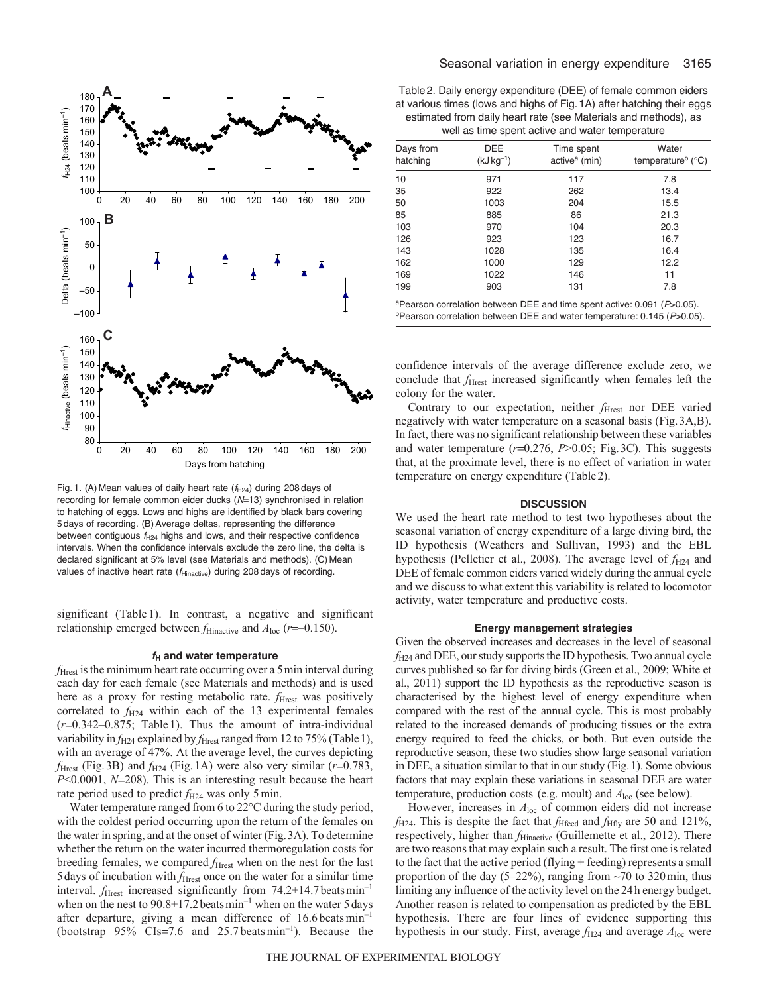

Fig. 1. (A) Mean values of daily heart rate ( $f_{H24}$ ) during 208 days of recording for female common eider ducks (N=13) synchronised in relation to hatching of eggs. Lows and highs are identified by black bars covering 5 days of recording. (B)Average deltas, representing the difference between contiguous  $f_{H24}$  highs and lows, and their respective confidence intervals. When the confidence intervals exclude the zero line, the delta is declared significant at 5% level (see Materials and methods). (C) Mean values of inactive heart rate ( $f_{\text{Hinactive}}$ ) during 208 days of recording.

significant (Table 1). In contrast, a negative and significant relationship emerged between  $f_{\text{Hinactive}}$  and  $A_{\text{loc}}$  ( $r=-0.150$ ).

## *f***<sup>H</sup> and water temperature**

*f*Hrest is the minimum heart rate occurring over a 5min interval during each day for each female (see Materials and methods) and is used here as a proxy for resting metabolic rate. *f*<sub>Hrest</sub> was positively correlated to  $f_{H24}$  within each of the 13 experimental females  $(r=0.342-0.875$ ; Table 1). Thus the amount of intra-individual variability in *f*<sub>H24</sub> explained by *f*<sub>Hrest</sub> ranged from 12 to 75% (Table 1), with an average of 47%. At the average level, the curves depicting  $f_{\text{Hrest}}$  (Fig.3B) and  $f_{\text{H24}}$  (Fig.1A) were also very similar ( $r=0.783$ , *P*<0.0001, *N*=208). This is an interesting result because the heart rate period used to predict  $f_{H24}$  was only 5 min.

Water temperature ranged from 6 to 22°C during the study period, with the coldest period occurring upon the return of the females on the water in spring, and at the onset of winter (Fig.3A). To determine whether the return on the water incurred thermoregulation costs for breeding females, we compared  $f_{\text{Hrest}}$  when on the nest for the last 5days of incubation with *f*Hrest once on the water for a similar time interval.  $f_{\text{Hrest}}$  increased significantly from  $74.2 \pm 14.7$  beats min<sup>-1</sup> when on the nest to  $90.8 \pm 17.2$  beats min<sup>-1</sup> when on the water 5 days after departure, giving a mean difference of  $16.6$  beats min<sup>-1</sup> (bootstrap  $95\%$  CIs=7.6 and 25.7 beats min<sup>-1</sup>). Because the

Table2. Daily energy expenditure (DEE) of female common eiders at various times (lows and highs of Fig.1A) after hatching their eggs estimated from daily heart rate (see Materials and methods), as well as time spent active and water temperature

| Days from<br>hatching | DEE<br>$(kJ kg^{-1})$ | Time spent<br>active <sup>a</sup> (min) | Water<br>temperature <sup>b</sup> ( $^{\circ}$ C) |
|-----------------------|-----------------------|-----------------------------------------|---------------------------------------------------|
| 10                    | 971                   | 117                                     | 7.8                                               |
| 35                    | 922                   | 262                                     | 13.4                                              |
| 50                    | 1003                  | 204                                     | 15.5                                              |
| 85                    | 885                   | 86                                      | 21.3                                              |
| 103                   | 970                   | 104                                     | 20.3                                              |
| 126                   | 923                   | 123                                     | 16.7                                              |
| 143                   | 1028                  | 135                                     | 16.4                                              |
| 162                   | 1000                  | 129                                     | 12.2                                              |
| 169                   | 1022                  | 146                                     | 11                                                |
| 199                   | 903                   | 131                                     | 7.8                                               |

aPearson correlation between DEE and time spent active: 0.091 (*P*>0.05).

confidence intervals of the average difference exclude zero, we conclude that *f*<sub>Hrest</sub> increased significantly when females left the colony for the water.

Contrary to our expectation, neither *f*<sub>Hrest</sub> nor DEE varied negatively with water temperature on a seasonal basis (Fig.3A,B). In fact, there was no significant relationship between these variables and water temperature  $(r=0.276, P>0.05;$  Fig.3C). This suggests that, at the proximate level, there is no effect of variation in water temperature on energy expenditure (Table2).

### **DISCUSSION**

We used the heart rate method to test two hypotheses about the seasonal variation of energy expenditure of a large diving bird, the ID hypothesis (Weathers and Sullivan, 1993) and the EBL hypothesis (Pelletier et al., 2008). The average level of  $f_{H24}$  and DEE of female common eiders varied widely during the annual cycle and we discuss to what extent this variability is related to locomotor activity, water temperature and productive costs.

#### **Energy management strategies**

Given the observed increases and decreases in the level of seasonal *f*H24 and DEE, our study supports the ID hypothesis. Two annual cycle curves published so far for diving birds (Green et al., 2009; White et al., 2011) support the ID hypothesis as the reproductive season is characterised by the highest level of energy expenditure when compared with the rest of the annual cycle. This is most probably related to the increased demands of producing tissues or the extra energy required to feed the chicks, or both. But even outside the reproductive season, these two studies show large seasonal variation in DEE, a situation similar to that in our study (Fig.1). Some obvious factors that may explain these variations in seasonal DEE are water temperature, production costs (e.g. moult) and *A*loc (see below).

However, increases in *A*loc of common eiders did not increase  $f_{\text{H24}}$ . This is despite the fact that  $f_{\text{Hfeed}}$  and  $f_{\text{Hfly}}$  are 50 and 121%, respectively, higher than *f*<sub>Hinactive</sub> (Guillemette et al., 2012). There are two reasons that may explain such a result. The first one is related to the fact that the active period (flying + feeding) represents a small proportion of the day (5–22%), ranging from  $\sim$  70 to 320 min, thus limiting any influence of the activity level on the 24h energy budget. Another reason is related to compensation as predicted by the EBL hypothesis. There are four lines of evidence supporting this hypothesis in our study. First, average  $f_{H24}$  and average  $A_{loc}$  were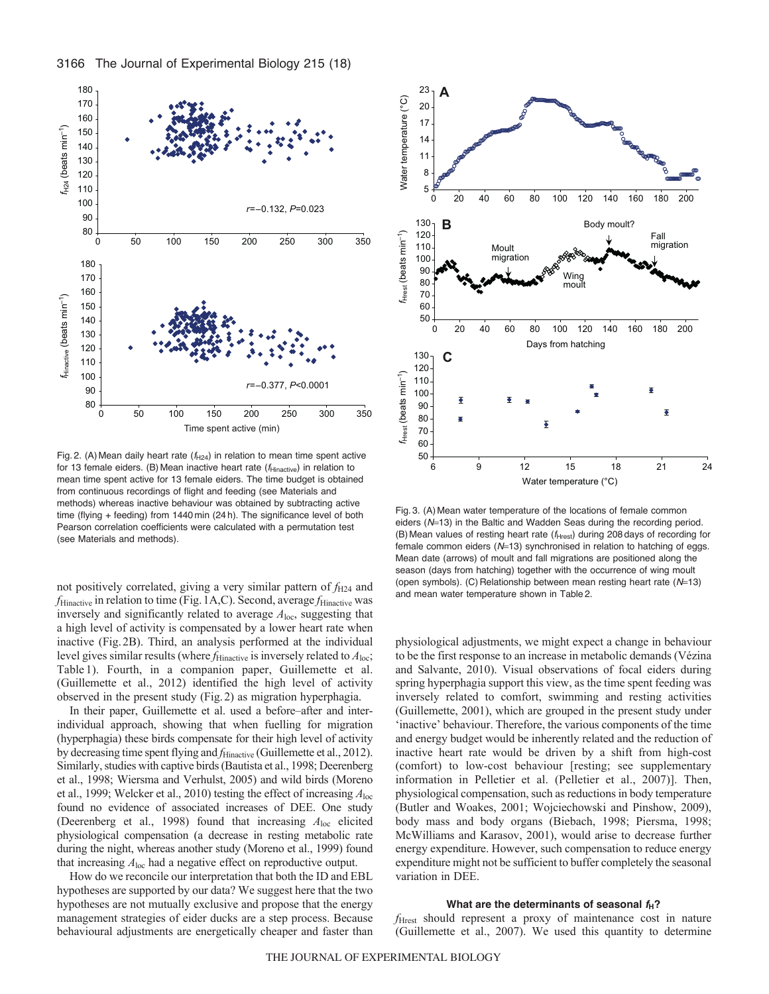

Fig. 2. (A) Mean daily heart rate  $(f_{H24})$  in relation to mean time spent active for 13 female eiders. (B) Mean inactive heart rate ( $f_{\text{Hinactive}}$ ) in relation to mean time spent active for 13 female eiders. The time budget is obtained from continuous recordings of flight and feeding (see Materials and methods) whereas inactive behaviour was obtained by subtracting active time (flying + feeding) from 1440 min (24 h). The significance level of both Pearson correlation coefficients were calculated with a permutation test (see Materials and methods).

not positively correlated, giving a very similar pattern of  $f_{H24}$  and *f*<sub>Hinactive</sub> in relation to time (Fig. 1A,C). Second, average *f*<sub>Hinactive</sub> was inversely and significantly related to average *A*loc, suggesting that a high level of activity is compensated by a lower heart rate when inactive (Fig.2B). Third, an analysis performed at the individual level gives similar results (where  $f<sub>Hinactive</sub>$  is inversely related to  $A<sub>loc</sub>$ ; Table 1). Fourth, in a companion paper, Guillemette et al. (Guillemette et al., 2012) identified the high level of activity observed in the present study (Fig.2) as migration hyperphagia.

In their paper, Guillemette et al. used a before–after and interindividual approach, showing that when fuelling for migration (hyperphagia) these birds compensate for their high level of activity by decreasing time spent flying and *f*<sub>Hinactive</sub> (Guillemette et al., 2012). Similarly, studies with captive birds (Bautista et al., 1998; Deerenberg et al., 1998; Wiersma and Verhulst, 2005) and wild birds (Moreno et al., 1999; Welcker et al., 2010) testing the effect of increasing *A*loc found no evidence of associated increases of DEE. One study (Deerenberg et al., 1998) found that increasing *A*loc elicited physiological compensation (a decrease in resting metabolic rate during the night, whereas another study (Moreno et al., 1999) found that increasing *A*loc had a negative effect on reproductive output.

How do we reconcile our interpretation that both the ID and EBL hypotheses are supported by our data? We suggest here that the two hypotheses are not mutually exclusive and propose that the energy management strategies of eider ducks are a step process. Because behavioural adjustments are energetically cheaper and faster than



Fig. 3. (A) Mean water temperature of the locations of female common eiders (N=13) in the Baltic and Wadden Seas during the recording period. (B) Mean values of resting heart rate ( $f<sub>Hrest</sub>$ ) during 208 days of recording for female common eiders (N=13) synchronised in relation to hatching of eggs. Mean date (arrows) of moult and fall migrations are positioned along the season (days from hatching) together with the occurrence of wing moult (open symbols). (C) Relationship between mean resting heart rate ( $N=13$ ) and mean water temperature shown in Table 2.

physiological adjustments, we might expect a change in behaviour to be the first response to an increase in metabolic demands (Vézina and Salvante, 2010). Visual observations of focal eiders during spring hyperphagia support this view, as the time spent feeding was inversely related to comfort, swimming and resting activities (Guillemette, 2001), which are grouped in the present study under 'inactive' behaviour. Therefore, the various components of the time and energy budget would be inherently related and the reduction of inactive heart rate would be driven by a shift from high-cost (comfort) to low-cost behaviour [resting; see supplementary information in Pelletier et al. (Pelletier et al., 2007)]. Then, physiological compensation, such as reductions in body temperature (Butler and Woakes, 2001; Wojciechowski and Pinshow, 2009), body mass and body organs (Biebach, 1998; Piersma, 1998; McWilliams and Karasov, 2001), would arise to decrease further energy expenditure. However, such compensation to reduce energy expenditure might not be sufficient to buffer completely the seasonal variation in DEE.

### **What are the determinants of seasonal** *f***H?**

*f*Hrest should represent a proxy of maintenance cost in nature (Guillemette et al., 2007). We used this quantity to determine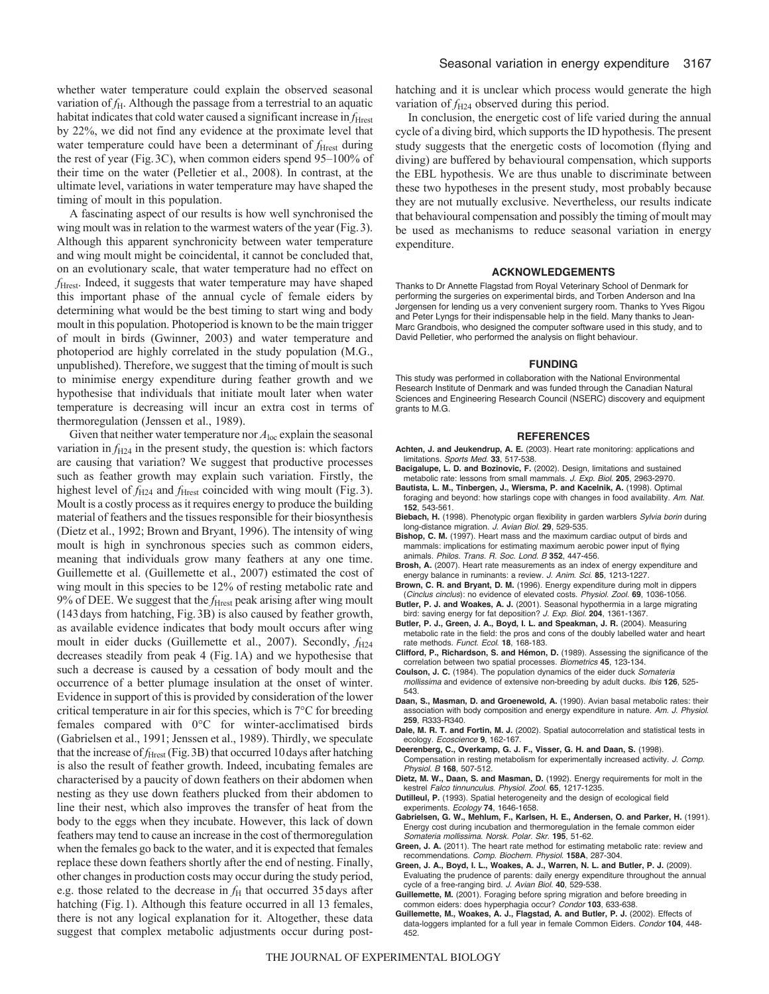whether water temperature could explain the observed seasonal variation of *f*<sub>H</sub>. Although the passage from a terrestrial to an aquatic habitat indicates that cold water caused a significant increase in *f*<sub>Hrest</sub> by 22%, we did not find any evidence at the proximate level that water temperature could have been a determinant of *f*<sub>Hrest</sub> during the rest of year (Fig.3C), when common eiders spend 95–100% of their time on the water (Pelletier et al., 2008). In contrast, at the ultimate level, variations in water temperature may have shaped the timing of moult in this population.

A fascinating aspect of our results is how well synchronised the wing moult was in relation to the warmest waters of the year (Fig.3). Although this apparent synchronicity between water temperature and wing moult might be coincidental, it cannot be concluded that, on an evolutionary scale, that water temperature had no effect on *f*Hrest. Indeed, it suggests that water temperature may have shaped this important phase of the annual cycle of female eiders by determining what would be the best timing to start wing and body moult in this population. Photoperiod is known to be the main trigger of moult in birds (Gwinner, 2003) and water temperature and photoperiod are highly correlated in the study population (M.G., unpublished). Therefore, we suggest that the timing of moult is such to minimise energy expenditure during feather growth and we hypothesise that individuals that initiate moult later when water temperature is decreasing will incur an extra cost in terms of thermoregulation (Jenssen et al., 1989).

Given that neither water temperature nor  $A<sub>loc</sub>$  explain the seasonal variation in  $f_{H24}$  in the present study, the question is: which factors are causing that variation? We suggest that productive processes such as feather growth may explain such variation. Firstly, the highest level of *f*<sub>H24</sub> and *f*<sub>Hrest</sub> coincided with wing moult (Fig. 3). Moult is a costly process as it requires energy to produce the building material of feathers and the tissues responsible for their biosynthesis (Dietz et al., 1992; Brown and Bryant, 1996). The intensity of wing moult is high in synchronous species such as common eiders, meaning that individuals grow many feathers at any one time. Guillemette et al. (Guillemette et al., 2007) estimated the cost of wing moult in this species to be 12% of resting metabolic rate and 9% of DEE. We suggest that the *f*<sub>Hrest</sub> peak arising after wing moult (143days from hatching, Fig.3B) is also caused by feather growth, as available evidence indicates that body moult occurs after wing moult in eider ducks (Guillemette et al., 2007). Secondly,  $f_{H24}$ decreases steadily from peak 4 (Fig.1A) and we hypothesise that such a decrease is caused by a cessation of body moult and the occurrence of a better plumage insulation at the onset of winter. Evidence in support of this is provided by consideration of the lower critical temperature in air for this species, which is 7°C for breeding females compared with 0°C for winter-acclimatised birds (Gabrielsen et al., 1991; Jenssen et al., 1989). Thirdly, we speculate that the increase of *f*<sub>Hrest</sub> (Fig. 3B) that occurred 10 days after hatching is also the result of feather growth. Indeed, incubating females are characterised by a paucity of down feathers on their abdomen when nesting as they use down feathers plucked from their abdomen to line their nest, which also improves the transfer of heat from the body to the eggs when they incubate. However, this lack of down feathers may tend to cause an increase in the cost of thermoregulation when the females go back to the water, and it is expected that females replace these down feathers shortly after the end of nesting. Finally, other changes in production costs may occur during the study period, e.g. those related to the decrease in  $f<sub>H</sub>$  that occurred 35 days after hatching (Fig. 1). Although this feature occurred in all 13 females, there is not any logical explanation for it. Altogether, these data suggest that complex metabolic adjustments occur during posthatching and it is unclear which process would generate the high variation of  $f_{H24}$  observed during this period.

In conclusion, the energetic cost of life varied during the annual cycle of a diving bird, which supports the ID hypothesis. The present study suggests that the energetic costs of locomotion (flying and diving) are buffered by behavioural compensation, which supports the EBL hypothesis. We are thus unable to discriminate between these two hypotheses in the present study, most probably because they are not mutually exclusive. Nevertheless, our results indicate that behavioural compensation and possibly the timing of moult may be used as mechanisms to reduce seasonal variation in energy expenditure.

#### **ACKNOWLEDGEMENTS**

Thanks to Dr Annette Flagstad from Royal Veterinary School of Denmark for performing the surgeries on experimental birds, and Torben Anderson and Ina Jørgensen for lending us a very convenient surgery room. Thanks to Yves Rigou and Peter Lyngs for their indispensable help in the field. Many thanks to Jean-Marc Grandbois, who designed the computer software used in this study, and to David Pelletier, who performed the analysis on flight behaviour.

#### **FUNDING**

This study was performed in collaboration with the National Environmental Research Institute of Denmark and was funded through the Canadian Natural Sciences and Engineering Research Council (NSERC) discovery and equipment grants to M.G.

#### **REFERENCES**

- **Achten, J. and Jeukendrup, A. E.** (2003). Heart rate monitoring: applications and limitations. *Sports Med.* **33**, 517-538.
- **Bacigalupe, L. D. and Bozinovic, F.** (2002). Design, limitations and sustained metabolic rate: lessons from small mammals. *J. Exp. Biol.* **205**, 2963-2970.
- **Bautista, L. M., Tinbergen, J., Wiersma, P. and Kacelnik, A.** (1998). Optimal foraging and beyond: how starlings cope with changes in food availability. *Am. Nat.* **152**, 543-561.
- **Biebach, H.** (1998). Phenotypic organ flexibility in garden warblers *Sylvia borin* during long-distance migration. *J. Avian Biol.* **29**, 529-535.
- **Bishop, C. M.** (1997). Heart mass and the maximum cardiac output of birds and mammals: implications for estimating maximum aerobic power input of flying animals. *Philos. Trans. R. Soc. Lond. B* **352**, 447-456.
- **Brosh, A.** (2007). Heart rate measurements as an index of energy expenditure and energy balance in ruminants: a review. *J. Anim. Sci.* **85**, 1213-1227.
- **Brown, C. R. and Bryant, D. M.** (1996). Energy expenditure during molt in dippers (*Cinclus cinclus*): no evidence of elevated costs. *Physiol. Zool.* **69**, 1036-1056.
- **Butler, P. J. and Woakes, A. J.** (2001). Seasonal hypothermia in a large migrating bird: saving energy for fat deposition? *J. Exp. Biol.* **204**, 1361-1367.
- **Butler, P. J., Green, J. A., Boyd, I. L. and Speakman, J. R.** (2004). Measuring metabolic rate in the field: the pros and cons of the doubly labelled water and heart rate methods. *Funct. Ecol.* **18**, 168-183.
- **Clifford, P., Richardson, S. and Hémon, D.** (1989). Assessing the significance of the correlation between two spatial processes. *Biometrics* **45**, 123-134.
- **Coulson, J. C.** (1984). The population dynamics of the eider duck *Somateria mollissima* and evidence of extensive non-breeding by adult ducks. *Ibis* **126**, 525- 543.
- **Daan, S., Masman, D. and Groenewold, A.** (1990). Avian basal metabolic rates: their association with body composition and energy expenditure in nature. *Am. J. Physiol.* **259**, R333-R340.
- **Dale, M. R. T. and Fortin, M. J.** (2002). Spatial autocorrelation and statistical tests in ecology. *Ecoscience* **9**, 162-167.
- **Deerenberg, C., Overkamp, G. J. F., Visser, G. H. and Daan, S.** (1998). Compensation in resting metabolism for experimentally increased activity. *J. Comp. Physiol. B* **168**, 507-512.
- **Dietz, M. W., Daan, S. and Masman, D.** (1992). Energy requirements for molt in the kestrel *Falco tinnunculus*. *Physiol. Zool.* **65**, 1217-1235.
- **Dutilleul, P.** (1993). Spatial heterogeneity and the design of ecological field experiments. *Ecology* **74**, 1646-1658.
- **Gabrielsen, G. W., Mehlum, F., Karlsen, H. E., Andersen, O. and Parker, H.** (1991). Energy cost during incubation and thermoregulation in the female common eider *Somateria mollissima*. *Norsk. Polar. Skr.* **195**, 51-62.
- **Green, J. A.** (2011). The heart rate method for estimating metabolic rate: review and recommendations. *Comp. Biochem. Physiol.* **158A**, 287-304.
- **Green, J. A., Boyd, I. L., Woakes, A. J., Warren, N. L. and Butler, P. J.** (2009). Evaluating the prudence of parents: daily energy expenditure throughout the annual
- cycle of a free-ranging bird. *J. Avian Biol.* **40**, 529-538. **Guillemette, M.** (2001). Foraging before spring migration and before breeding in common eiders: does hyperphagia occur? *Condor* **103**, 633-638.
- **Guillemette, M., Woakes, A. J., Flagstad, A. and Butler, P. J.** (2002). Effects of data-loggers implanted for a full year in female Common Eiders. *Condor* **104**, 448- 452.